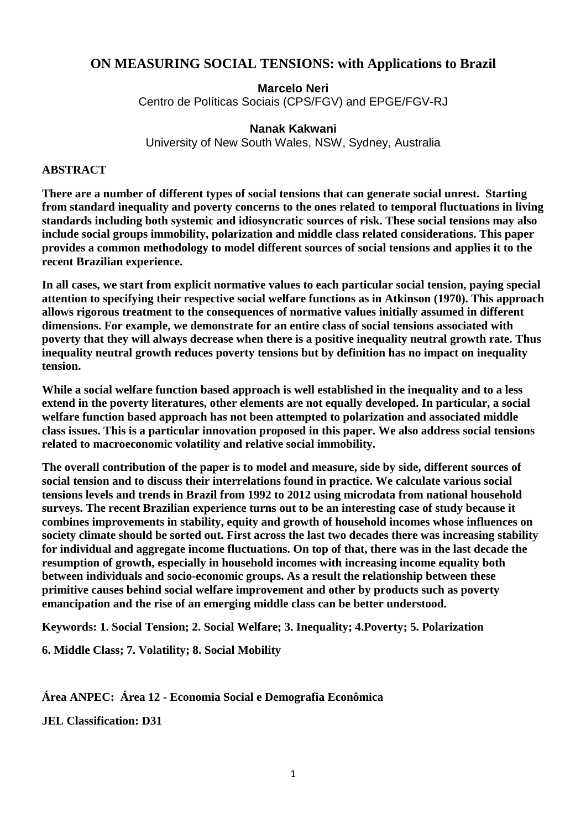# **ON MEASURING SOCIAL TENSIONS: with Applications to Brazil**

**Marcelo Neri**  Centro de Políticas Sociais (CPS/FGV) and EPGE/FGV-RJ

### **Nanak Kakwani**

University of New South Wales, NSW, Sydney, Australia

#### **ABSTRACT**

**There are a number of different types of social tensions that can generate social unrest. Starting from standard inequality and poverty concerns to the ones related to temporal fluctuations in living standards including both systemic and idiosyncratic sources of risk. These social tensions may also include social groups immobility, polarization and middle class related considerations. This paper provides a common methodology to model different sources of social tensions and applies it to the recent Brazilian experience.** 

**In all cases, we start from explicit normative values to each particular social tension, paying special attention to specifying their respective social welfare functions as in Atkinson (1970). This approach allows rigorous treatment to the consequences of normative values initially assumed in different dimensions. For example, we demonstrate for an entire class of social tensions associated with poverty that they will always decrease when there is a positive inequality neutral growth rate. Thus inequality neutral growth reduces poverty tensions but by definition has no impact on inequality tension.**

**While a social welfare function based approach is well established in the inequality and to a less extend in the poverty literatures, other elements are not equally developed. In particular, a social welfare function based approach has not been attempted to polarization and associated middle class issues. This is a particular innovation proposed in this paper. We also address social tensions related to macroeconomic volatility and relative social immobility.** 

**The overall contribution of the paper is to model and measure, side by side, different sources of social tension and to discuss their interrelations found in practice. We calculate various social tensions levels and trends in Brazil from 1992 to 2012 using microdata from national household surveys. The recent Brazilian experience turns out to be an interesting case of study because it combines improvements in stability, equity and growth of household incomes whose influences on society climate should be sorted out. First across the last two decades there was increasing stability for individual and aggregate income fluctuations. On top of that, there was in the last decade the resumption of growth, especially in household incomes with increasing income equality both between individuals and socio-economic groups. As a result the relationship between these primitive causes behind social welfare improvement and other by products such as poverty emancipation and the rise of an emerging middle class can be better understood.** 

**Keywords: 1. Social Tension; 2. Social Welfare; 3. Inequality; 4.Poverty; 5. Polarization** 

**6. Middle Class; 7. Volatility; 8. Social Mobility** 

**Área ANPEC: Área 12 - Economia Social e Demografia Econômica** 

**JEL Classification: D31**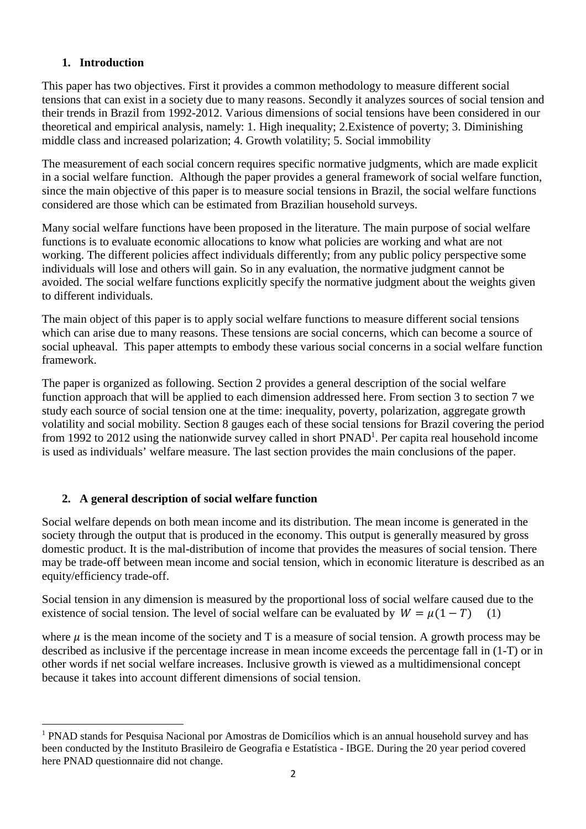## **1. Introduction**

This paper has two objectives. First it provides a common methodology to measure different social tensions that can exist in a society due to many reasons. Secondly it analyzes sources of social tension and their trends in Brazil from 1992-2012. Various dimensions of social tensions have been considered in our theoretical and empirical analysis, namely: 1. High inequality; 2.Existence of poverty; 3. Diminishing middle class and increased polarization; 4. Growth volatility; 5. Social immobility

The measurement of each social concern requires specific normative judgments, which are made explicit in a social welfare function. Although the paper provides a general framework of social welfare function, since the main objective of this paper is to measure social tensions in Brazil, the social welfare functions considered are those which can be estimated from Brazilian household surveys.

Many social welfare functions have been proposed in the literature. The main purpose of social welfare functions is to evaluate economic allocations to know what policies are working and what are not working. The different policies affect individuals differently; from any public policy perspective some individuals will lose and others will gain. So in any evaluation, the normative judgment cannot be avoided. The social welfare functions explicitly specify the normative judgment about the weights given to different individuals.

The main object of this paper is to apply social welfare functions to measure different social tensions which can arise due to many reasons. These tensions are social concerns, which can become a source of social upheaval. This paper attempts to embody these various social concerns in a social welfare function framework.

The paper is organized as following. Section 2 provides a general description of the social welfare function approach that will be applied to each dimension addressed here. From section 3 to section 7 we study each source of social tension one at the time: inequality, poverty, polarization, aggregate growth volatility and social mobility. Section 8 gauges each of these social tensions for Brazil covering the period from 1992 to 2012 using the nationwide survey called in short  $\text{PNAD}^1$ . Per capita real household income is used as individuals' welfare measure. The last section provides the main conclusions of the paper.

## **2. A general description of social welfare function**

l

Social welfare depends on both mean income and its distribution. The mean income is generated in the society through the output that is produced in the economy. This output is generally measured by gross domestic product. It is the mal-distribution of income that provides the measures of social tension. There may be trade-off between mean income and social tension, which in economic literature is described as an equity/efficiency trade-off.

Social tension in any dimension is measured by the proportional loss of social welfare caused due to the existence of social tension. The level of social welfare can be evaluated by  $W = \mu(1 - T)$ 

where  $\mu$  is the mean income of the society and T is a measure of social tension. A growth process may be described as inclusive if the percentage increase in mean income exceeds the percentage fall in (1-T) or in other words if net social welfare increases. Inclusive growth is viewed as a multidimensional concept because it takes into account different dimensions of social tension.

<sup>&</sup>lt;sup>1</sup> PNAD stands for Pesquisa Nacional por Amostras de Domicílios which is an annual household survey and has been conducted by the Instituto Brasileiro de Geografia e Estatística - IBGE. During the 20 year period covered here PNAD questionnaire did not change.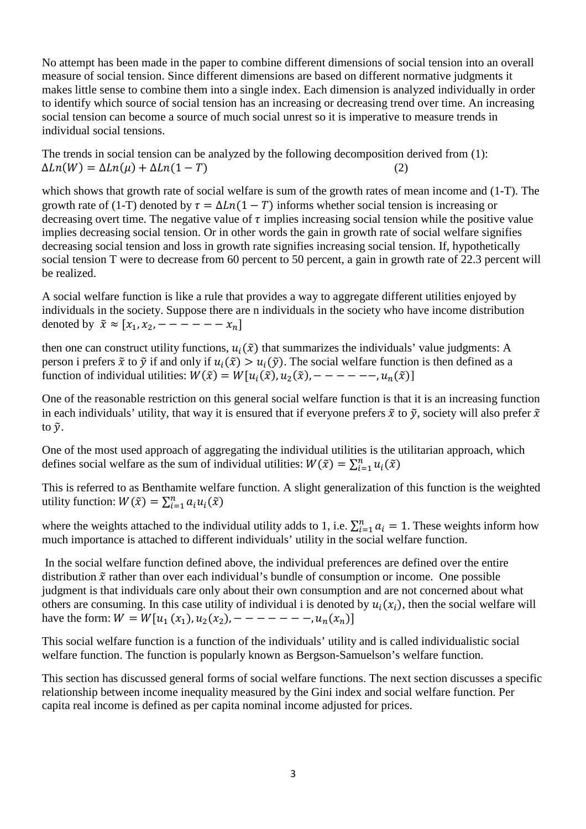No attempt has been made in the paper to combine different dimensions of social tension into an overall measure of social tension. Since different dimensions are based on different normative judgments it makes little sense to combine them into a single index. Each dimension is analyzed individually in order to identify which source of social tension has an increasing or decreasing trend over time. An increasing social tension can become a source of much social unrest so it is imperative to measure trends in individual social tensions.

The trends in social tension can be analyzed by the following decomposition derived from (1):  $\Delta Ln(W) = \Delta Ln(\mu) + \Delta Ln(1 - T)$  (2)

which shows that growth rate of social welfare is sum of the growth rates of mean income and (1-T). The growth rate of (1-T) denoted by  $\tau = \Delta Ln(1 - T)$  informs whether social tension is increasing or decreasing overt time. The negative value of  $\tau$  implies increasing social tension while the positive value implies decreasing social tension. Or in other words the gain in growth rate of social welfare signifies decreasing social tension and loss in growth rate signifies increasing social tension. If, hypothetically social tension T were to decrease from 60 percent to 50 percent, a gain in growth rate of 22.3 percent will be realized.

A social welfare function is like a rule that provides a way to aggregate different utilities enjoyed by individuals in the society. Suppose there are n individuals in the society who have income distribution denoted by  $\tilde{x} \approx [x_1, x_2, - - - - - - x_n]$ 

then one can construct utility functions,  $u_i(\tilde{x})$  that summarizes the individuals' value judgments: A person i prefers  $\tilde{x}$  to  $\tilde{y}$  if and only if  $u_i(\tilde{x}) > u_i(\tilde{y})$ . The social welfare function is then defined as a function of individual utilities:  $W(\tilde{x}) = W[u_i(\tilde{x}), u_2(\tilde{x}), - - - - - -, u_n(\tilde{x})]$ 

One of the reasonable restriction on this general social welfare function is that it is an increasing function in each individuals' utility, that way it is ensured that if everyone prefers  $\tilde{x}$  to  $\tilde{y}$ , society will also prefer  $\tilde{x}$ to  $\tilde{v}$ .

One of the most used approach of aggregating the individual utilities is the utilitarian approach, which defines social welfare as the sum of individual utilities:  $W(\tilde{x}) = \sum_{i=1}^{n} u_i(\tilde{x})$ 

This is referred to as Benthamite welfare function. A slight generalization of this function is the weighted utility function:  $W(\tilde{x}) = \sum_{i=1}^{n} a_i u_i(\tilde{x})$ 

where the weights attached to the individual utility adds to 1, i.e.  $\sum_{i=1}^{n} a_i = 1$ . These weights inform how much importance is attached to different individuals' utility in the social welfare function.

 In the social welfare function defined above, the individual preferences are defined over the entire distribution  $\tilde{x}$  rather than over each individual's bundle of consumption or income. One possible judgment is that individuals care only about their own consumption and are not concerned about what others are consuming. In this case utility of individual i is denoted by  $u_i(x_i)$ , then the social welfare will have the form:  $W = W[u_1(x_1), u_2(x_2), - - - - - - - -$ ,  $u_n(x_n)]$ 

This social welfare function is a function of the individuals' utility and is called individualistic social welfare function. The function is popularly known as Bergson-Samuelson's welfare function.

This section has discussed general forms of social welfare functions. The next section discusses a specific relationship between income inequality measured by the Gini index and social welfare function. Per capita real income is defined as per capita nominal income adjusted for prices.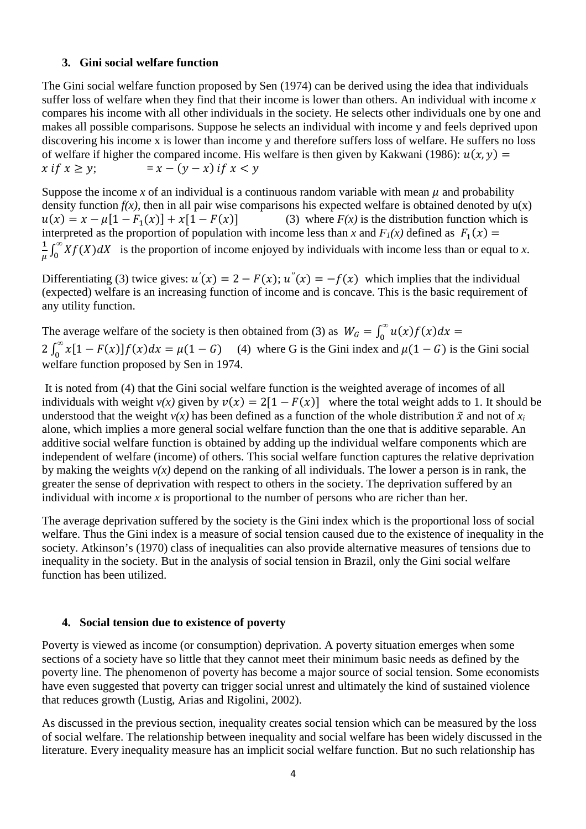### **3. Gini social welfare function**

The Gini social welfare function proposed by Sen (1974) can be derived using the idea that individuals suffer loss of welfare when they find that their income is lower than others. An individual with income *x* compares his income with all other individuals in the society. He selects other individuals one by one and makes all possible comparisons. Suppose he selects an individual with income y and feels deprived upon discovering his income x is lower than income y and therefore suffers loss of welfare. He suffers no loss of welfare if higher the compared income. His welfare is then given by Kakwani (1986):  $u(x, y) =$  $x$  if  $x > v$ :  $= x - (v - x)$  if  $x < v$ 

Suppose the income *x* of an individual is a continuous random variable with mean  $\mu$  and probability density function  $f(x)$ , then in all pair wise comparisons his expected welfare is obtained denoted by  $u(x)$  $u(x) = x - \mu[1 - F_1(x)] + x[1 - F(x)]$  (3) where  $F(x)$  is the distribution function which is interpreted as the proportion of population with income less than *x* and  $F_1(x)$  defined as  $F_1(x) =$  $\mathbf{1}$  $\frac{1}{\mu} \int_0^{\infty} X f(X) dX$  is the proportion of income enjoyed by individuals with income less than or equal to *x*.

Differentiating (3) twice gives:  $u'(x) = 2 - F(x)$ ;  $u''(x) = -f(x)$  which implies that the individual (expected) welfare is an increasing function of income and is concave. This is the basic requirement of any utility function.

The average welfare of the society is then obtained from (3) as  $W_G = \int_0^\infty u(x) f(x) dx = 2 \int_0^\infty x[1 - F(x)] f(x) dx = \mu(1 - G)$  (4) where G is the Gini index and  $\mu(1 - G)$  is the Gini social welfare function proposed by Sen in 1974.

 It is noted from (4) that the Gini social welfare function is the weighted average of incomes of all individuals with weight  $v(x)$  given by  $v(x) = 2[1 - F(x)]$  where the total weight adds to 1. It should be understood that the weight  $v(x)$  has been defined as a function of the whole distribution  $\tilde{x}$  and not of  $x_i$ alone, which implies a more general social welfare function than the one that is additive separable. An additive social welfare function is obtained by adding up the individual welfare components which are independent of welfare (income) of others. This social welfare function captures the relative deprivation by making the weights *v(x)* depend on the ranking of all individuals. The lower a person is in rank, the greater the sense of deprivation with respect to others in the society. The deprivation suffered by an individual with income  $x$  is proportional to the number of persons who are richer than her.

The average deprivation suffered by the society is the Gini index which is the proportional loss of social welfare. Thus the Gini index is a measure of social tension caused due to the existence of inequality in the society. Atkinson's (1970) class of inequalities can also provide alternative measures of tensions due to inequality in the society. But in the analysis of social tension in Brazil, only the Gini social welfare function has been utilized.

### **4. Social tension due to existence of poverty**

Poverty is viewed as income (or consumption) deprivation. A poverty situation emerges when some sections of a society have so little that they cannot meet their minimum basic needs as defined by the poverty line. The phenomenon of poverty has become a major source of social tension. Some economists have even suggested that poverty can trigger social unrest and ultimately the kind of sustained violence that reduces growth (Lustig, Arias and Rigolini, 2002).

As discussed in the previous section, inequality creates social tension which can be measured by the loss of social welfare. The relationship between inequality and social welfare has been widely discussed in the literature. Every inequality measure has an implicit social welfare function. But no such relationship has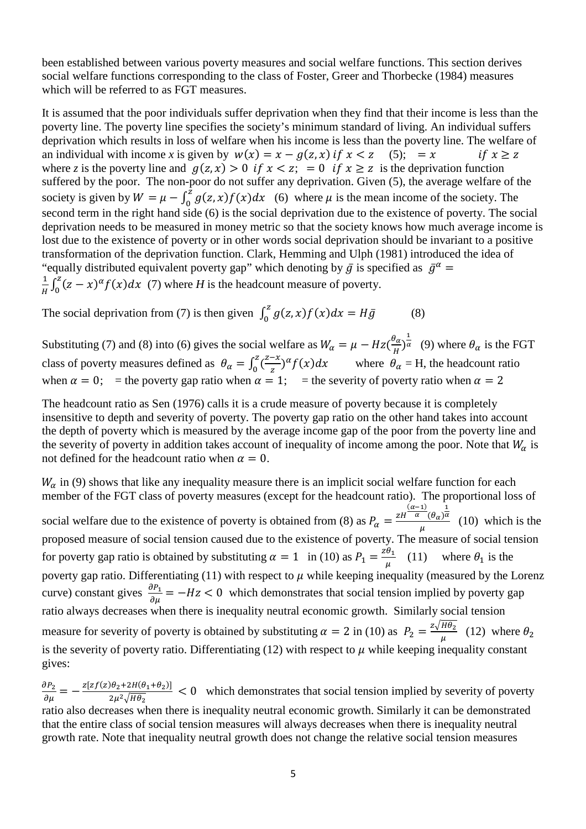been established between various poverty measures and social welfare functions. This section derives social welfare functions corresponding to the class of Foster, Greer and Thorbecke (1984) measures which will be referred to as FGT measures.

It is assumed that the poor individuals suffer deprivation when they find that their income is less than the poverty line. The poverty line specifies the society's minimum standard of living. An individual suffers deprivation which results in loss of welfare when his income is less than the poverty line. The welfare of an individual with income *x* is given by  $w(x) = x - g(z, x)$  if  $x < z$  (5); = *x* if  $x \ge z$ where *z* is the poverty line and  $g(z, x) > 0$  if  $x < z$ ; = 0 if  $x \ge z$  is the deprivation function suffered by the poor. The non-poor do not suffer any deprivation. Given (5), the average welfare of the society is given by  $W = \mu - \int_0^2 g(z, x) f(x) dx$  (6) where  $\mu$  is the mean income of the society. The second term in the right hand side (6) is the social deprivation due to the existence of poverty. The social deprivation needs to be measured in money metric so that the society knows how much average income is lost due to the existence of poverty or in other words social deprivation should be invariant to a positive transformation of the deprivation function. Clark, Hemming and Ulph (1981) introduced the idea of "equally distributed equivalent poverty gap" which denoting by  $\bar{g}$  is specified as  $\bar{g}^{\alpha}$  =  $\mathbf 1$  $\frac{1}{H} \int_0^Z (z - x)^{\alpha} f(x) dx$  (7) where *H* is the headcount measure of poverty.

The social deprivation from (7) is then given  $\int_0^z g(z, x) f(x) dx = H\overline{g}$ (8)

Substituting (7) and (8) into (6) gives the social welfare as  $W_{\alpha} = \mu - Hz(\frac{\theta_{\alpha}}{H})^{\frac{1}{\alpha}}$  (9) where  $\theta_{\alpha}$  is the FGT class of poverty measures defined as  $\theta_{\alpha} = \int_{0}^{z} (\frac{z-x}{z})^{z}$  $\int_0^z \frac{z^{-x}}{z} e^{-x} f(x) dx$  where  $\theta_\alpha = H$ , the headcount ratio when  $\alpha = 0$ ; = the poverty gap ratio when  $\alpha = 1$ ; = the severity of poverty ratio when  $\alpha = 2$ 

The headcount ratio as Sen (1976) calls it is a crude measure of poverty because it is completely insensitive to depth and severity of poverty. The poverty gap ratio on the other hand takes into account the depth of poverty which is measured by the average income gap of the poor from the poverty line and the severity of poverty in addition takes account of inequality of income among the poor. Note that  $W_{\alpha}$  is not defined for the headcount ratio when  $\alpha = 0$ .

 $W_{\alpha}$  in (9) shows that like any inequality measure there is an implicit social welfare function for each member of the FGT class of poverty measures (except for the headcount ratio). The proportional loss of social welfare due to the existence of poverty is obtained from (8) as  $P_{\alpha} = \frac{zH^{\frac{(\alpha-1)}{\alpha}}(\theta_{\alpha})^{\frac{1}{\alpha}}}{u}$  $\frac{\partial^2 u}{\partial \mu}$  (10) which is the proposed measure of social tension caused due to the existence of poverty. The measure of social tension for poverty gap ratio is obtained by substituting  $\alpha = 1$  in (10) as  $P_1 = \frac{z\theta_1}{u}$  $\frac{\nu_1}{\mu}$  (11) where  $\theta_1$  is the poverty gap ratio. Differentiating (11) with respect to  $\mu$  while keeping inequality (measured by the Lorenz curve) constant gives  $\frac{\partial P_1}{\partial \mu} = -Hz < 0$  which demonstrates that social tension implied by poverty gap ratio always decreases when there is inequality neutral economic growth. Similarly social tension measure for severity of poverty is obtained by substituting  $\alpha = 2$  in (10) as  $P_2 = \frac{z \sqrt{H \theta_2}}{H}$  $\frac{1102}{\mu}$  (12) where  $\theta_2$ is the severity of poverty ratio. Differentiating (12) with respect to  $\mu$  while keeping inequality constant gives:

 $\frac{\partial P_2}{\partial \mu} = -\frac{z[zf(z)\theta_2 + 2H(\theta_1 + \theta_2)]}{2\mu^2 \sqrt{H\theta_2}}$  $\frac{\partial^2 \mathcal{L}^2 \mathcal{L}^2 \mathcal{L}^2}{\partial q^2 \sqrt{H \theta_2}}$  < 0 which demonstrates that social tension implied by severity of poverty ratio also decreases when there is inequality neutral economic growth. Similarly it can be demonstrated that the entire class of social tension measures will always decreases when there is inequality neutral growth rate. Note that inequality neutral growth does not change the relative social tension measures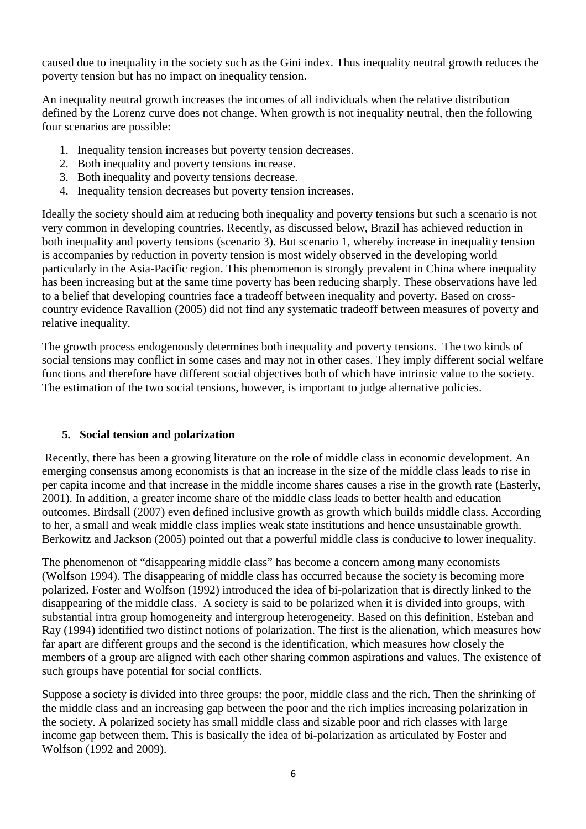caused due to inequality in the society such as the Gini index. Thus inequality neutral growth reduces the poverty tension but has no impact on inequality tension.

An inequality neutral growth increases the incomes of all individuals when the relative distribution defined by the Lorenz curve does not change. When growth is not inequality neutral, then the following four scenarios are possible:

- 1. Inequality tension increases but poverty tension decreases.
- 2. Both inequality and poverty tensions increase.
- 3. Both inequality and poverty tensions decrease.
- 4. Inequality tension decreases but poverty tension increases.

Ideally the society should aim at reducing both inequality and poverty tensions but such a scenario is not very common in developing countries. Recently, as discussed below, Brazil has achieved reduction in both inequality and poverty tensions (scenario 3). But scenario 1, whereby increase in inequality tension is accompanies by reduction in poverty tension is most widely observed in the developing world particularly in the Asia-Pacific region. This phenomenon is strongly prevalent in China where inequality has been increasing but at the same time poverty has been reducing sharply. These observations have led to a belief that developing countries face a tradeoff between inequality and poverty. Based on crosscountry evidence Ravallion (2005) did not find any systematic tradeoff between measures of poverty and relative inequality.

The growth process endogenously determines both inequality and poverty tensions. The two kinds of social tensions may conflict in some cases and may not in other cases. They imply different social welfare functions and therefore have different social objectives both of which have intrinsic value to the society. The estimation of the two social tensions, however, is important to judge alternative policies.

## **5. Social tension and polarization**

 Recently, there has been a growing literature on the role of middle class in economic development. An emerging consensus among economists is that an increase in the size of the middle class leads to rise in per capita income and that increase in the middle income shares causes a rise in the growth rate (Easterly, 2001). In addition, a greater income share of the middle class leads to better health and education outcomes. Birdsall (2007) even defined inclusive growth as growth which builds middle class. According to her, a small and weak middle class implies weak state institutions and hence unsustainable growth. Berkowitz and Jackson (2005) pointed out that a powerful middle class is conducive to lower inequality.

The phenomenon of "disappearing middle class" has become a concern among many economists (Wolfson 1994). The disappearing of middle class has occurred because the society is becoming more polarized. Foster and Wolfson (1992) introduced the idea of bi-polarization that is directly linked to the disappearing of the middle class. A society is said to be polarized when it is divided into groups, with substantial intra group homogeneity and intergroup heterogeneity. Based on this definition, Esteban and Ray (1994) identified two distinct notions of polarization. The first is the alienation, which measures how far apart are different groups and the second is the identification, which measures how closely the members of a group are aligned with each other sharing common aspirations and values. The existence of such groups have potential for social conflicts.

Suppose a society is divided into three groups: the poor, middle class and the rich. Then the shrinking of the middle class and an increasing gap between the poor and the rich implies increasing polarization in the society. A polarized society has small middle class and sizable poor and rich classes with large income gap between them. This is basically the idea of bi-polarization as articulated by Foster and Wolfson (1992 and 2009).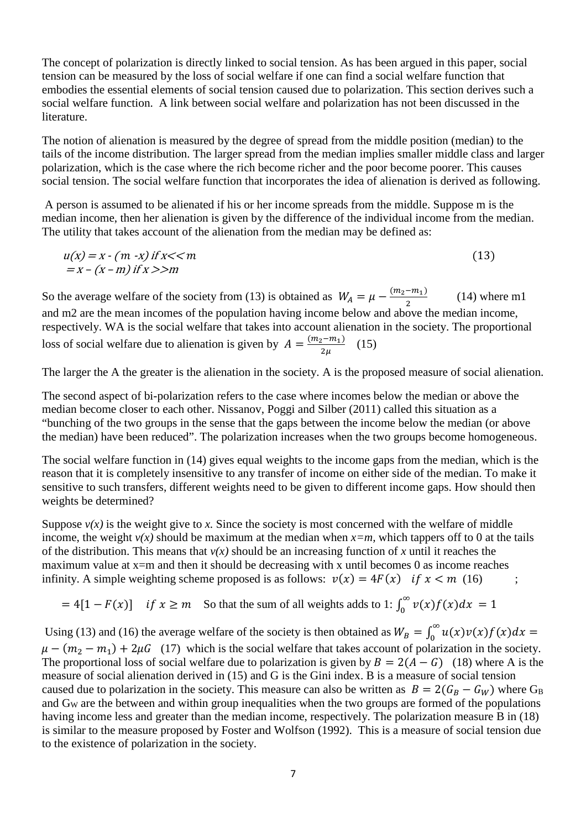The concept of polarization is directly linked to social tension. As has been argued in this paper, social tension can be measured by the loss of social welfare if one can find a social welfare function that embodies the essential elements of social tension caused due to polarization. This section derives such a social welfare function. A link between social welfare and polarization has not been discussed in the literature.

The notion of alienation is measured by the degree of spread from the middle position (median) to the tails of the income distribution. The larger spread from the median implies smaller middle class and larger polarization, which is the case where the rich become richer and the poor become poorer. This causes social tension. The social welfare function that incorporates the idea of alienation is derived as following.

 A person is assumed to be alienated if his or her income spreads from the middle. Suppose m is the median income, then her alienation is given by the difference of the individual income from the median. The utility that takes account of the alienation from the median may be defined as:

$$
u(x) = x - (m - x) \text{ if } x < m
$$
  
= x - (x - m) \text{ if } x >> m

So the average welfare of the society from (13) is obtained as  $W_A = \mu - \frac{(m_2 - m_1)}{2}$  $\overline{\mathbf{c}}$  (14) where m1 and m2 are the mean incomes of the population having income below and above the median income, respectively. WA is the social welfare that takes into account alienation in the society. The proportional loss of social welfare due to alienation is given by  $A = \frac{(m_2 - m_1)}{2\mu}$  (15)

The larger the A the greater is the alienation in the society. A is the proposed measure of social alienation.

The second aspect of bi-polarization refers to the case where incomes below the median or above the median become closer to each other. Nissanov, Poggi and Silber (2011) called this situation as a "bunching of the two groups in the sense that the gaps between the income below the median (or above the median) have been reduced". The polarization increases when the two groups become homogeneous.

The social welfare function in (14) gives equal weights to the income gaps from the median, which is the reason that it is completely insensitive to any transfer of income on either side of the median. To make it sensitive to such transfers, different weights need to be given to different income gaps. How should then weights be determined?

Suppose  $v(x)$  is the weight give to x. Since the society is most concerned with the welfare of middle income, the weight  $v(x)$  should be maximum at the median when  $x=m$ , which tappers off to 0 at the tails of the distribution. This means that  $v(x)$  should be an increasing function of x until it reaches the maximum value at  $x=m$  and then it should be decreasing with x until becomes 0 as income reaches infinity. A simple weighting scheme proposed is as follows:  $v(x) = 4F(x)$  if  $x < m$  (16)

 $= 4[1 - F(x)]$  if  $x \ge m$  So that the sum of all weights adds to 1:  $\int_0^\infty v(x)f(x)dx = 1$ 

Using (13) and (16) the average welfare of the society is then obtained as  $W_B = \int_0^\infty u(x)v(x)f(x)dx$  $\mu - (m_2 - m_1) + 2\mu G$  (17) which is the social welfare that takes account of polarization in the society. The proportional loss of social welfare due to polarization is given by  $B = 2(A - G)$  (18) where A is the measure of social alienation derived in (15) and G is the Gini index. B is a measure of social tension caused due to polarization in the society. This measure can also be written as  $B = 2(G_B - G_W)$  where G<sub>B</sub> and GW are the between and within group inequalities when the two groups are formed of the populations having income less and greater than the median income, respectively. The polarization measure B in (18) is similar to the measure proposed by Foster and Wolfson (1992). This is a measure of social tension due to the existence of polarization in the society.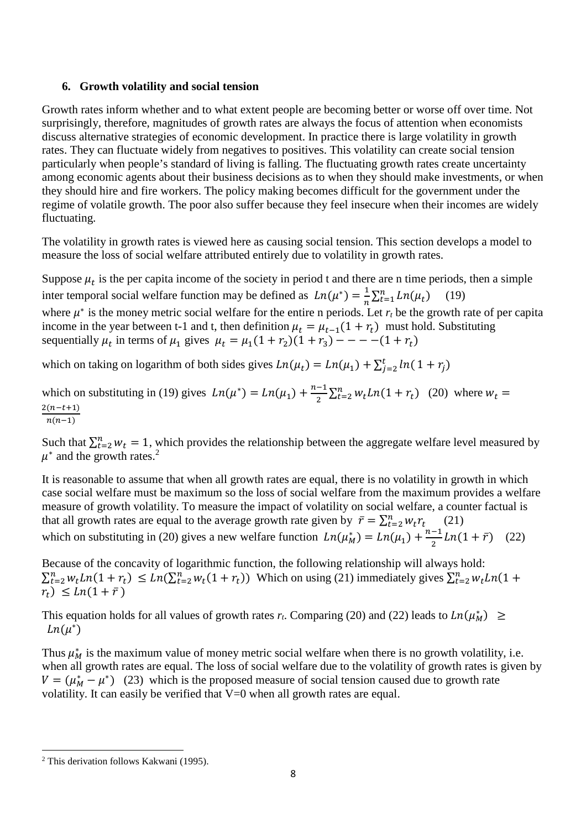### **6. Growth volatility and social tension**

Growth rates inform whether and to what extent people are becoming better or worse off over time. Not surprisingly, therefore, magnitudes of growth rates are always the focus of attention when economists discuss alternative strategies of economic development. In practice there is large volatility in growth rates. They can fluctuate widely from negatives to positives. This volatility can create social tension particularly when people's standard of living is falling. The fluctuating growth rates create uncertainty among economic agents about their business decisions as to when they should make investments, or when they should hire and fire workers. The policy making becomes difficult for the government under the regime of volatile growth. The poor also suffer because they feel insecure when their incomes are widely fluctuating.

The volatility in growth rates is viewed here as causing social tension. This section develops a model to measure the loss of social welfare attributed entirely due to volatility in growth rates.

Suppose  $\mu_t$  is the per capita income of the society in period t and there are n time periods, then a simple inter temporal social welfare function may be defined as  $Ln(\mu^*) = \frac{1}{n} \sum_{t=1}^{n} Ln(\mu_t)$  (19) where  $\mu^*$  is the money metric social welfare for the entire n periods. Let  $r_t$  be the growth rate of per capita income in the year between t-1 and t, then definition  $\mu_t = \mu_{t-1}(1 + r_t)$  must hold. Substituting sequentially  $\mu_t$  in terms of  $\mu_1$  gives  $\mu_t = \mu_1(1 + r_2)(1 + r_3) - - - - (1 + r_t)$ 

which on taking on logarithm of both sides gives  $Ln(\mu_t) = Ln(\mu_1) + \sum_{j=2}^{t} ln(1 + r_j)$ 

which on substituting in (19) gives  $Ln(\mu^*) = Ln(\mu_1) + \frac{n-1}{2}$  $\frac{-1}{2} \sum_{t=2}^{n} w_t Ln(1 + r_t)$  (20) where  $w_t =$  $\frac{2(n-t+1)}{n(n-1)}$ 

Such that  $\sum_{t=2}^{n} w_t = 1$ , which provides the relationship between the aggregate welfare level measured by  $\mu^*$  and the growth rates.<sup>2</sup>

It is reasonable to assume that when all growth rates are equal, there is no volatility in growth in which case social welfare must be maximum so the loss of social welfare from the maximum provides a welfare measure of growth volatility. To measure the impact of volatility on social welfare, a counter factual is that all growth rates are equal to the average growth rate given by  $\bar{r} = \sum_{t=2}^{n} w_t r_t$  (21) which on substituting in (20) gives a new welfare function  $Ln(\mu_M^*) = Ln(\mu_1) + \frac{n-1}{2}$  $\frac{-1}{2}$ *Ln*(1 +  $\bar{r}$ ) (22)

Because of the concavity of logarithmic function, the following relationship will always hold:  $\sum_{t=2}^{n} w_t Ln(1+r_t) \leq Ln(\sum_{t=2}^{n} w_t(1+r_t))$  Which on using (21) immediately gives  $\sum_{t=2}^{n} w_t Ln(1+r_t)$  $r_t$ )  $\leq Ln(1 + \bar{r})$ 

This equation holds for all values of growth rates  $r_t$ . Comparing (20) and (22) leads to  $Ln(\mu_M^*) \ge$  $Ln(\mu^*)$ 

Thus  $\mu_M^*$  is the maximum value of money metric social welfare when there is no growth volatility, i.e. when all growth rates are equal. The loss of social welfare due to the volatility of growth rates is given by  $V = (\mu_M^* - \mu^*)$  (23) which is the proposed measure of social tension caused due to growth rate volatility. It can easily be verified that V=0 when all growth rates are equal.

 $\overline{a}$ <sup>2</sup> This derivation follows Kakwani (1995).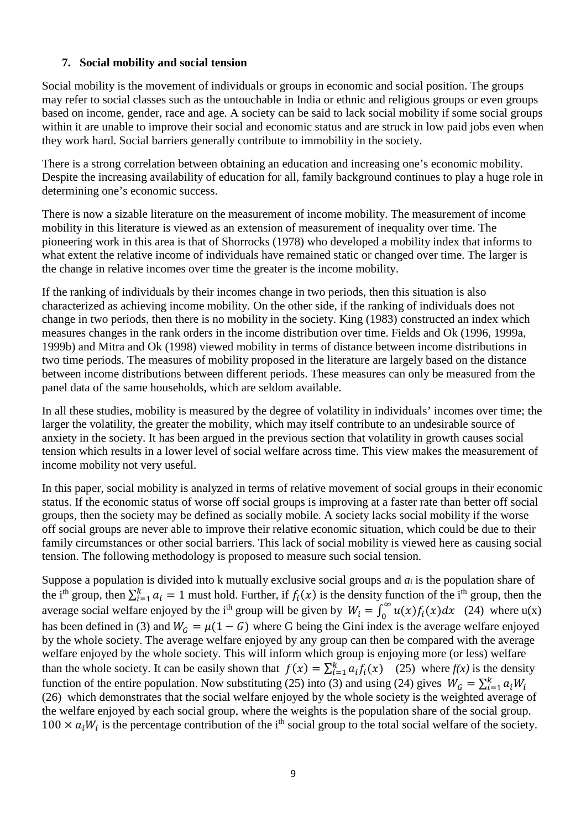### **7. Social mobility and social tension**

Social mobility is the movement of individuals or groups in economic and social position. The groups may refer to social classes such as the untouchable in India or ethnic and religious groups or even groups based on income, gender, race and age. A society can be said to lack social mobility if some social groups within it are unable to improve their social and economic status and are struck in low paid jobs even when they work hard. Social barriers generally contribute to immobility in the society.

There is a strong correlation between obtaining an education and increasing one's economic mobility. Despite the increasing availability of education for all, family background continues to play a huge role in determining one's economic success.

There is now a sizable literature on the measurement of income mobility. The measurement of income mobility in this literature is viewed as an extension of measurement of inequality over time. The pioneering work in this area is that of Shorrocks (1978) who developed a mobility index that informs to what extent the relative income of individuals have remained static or changed over time. The larger is the change in relative incomes over time the greater is the income mobility.

If the ranking of individuals by their incomes change in two periods, then this situation is also characterized as achieving income mobility. On the other side, if the ranking of individuals does not change in two periods, then there is no mobility in the society. King (1983) constructed an index which measures changes in the rank orders in the income distribution over time. Fields and Ok (1996, 1999a, 1999b) and Mitra and Ok (1998) viewed mobility in terms of distance between income distributions in two time periods. The measures of mobility proposed in the literature are largely based on the distance between income distributions between different periods. These measures can only be measured from the panel data of the same households, which are seldom available.

In all these studies, mobility is measured by the degree of volatility in individuals' incomes over time; the larger the volatility, the greater the mobility, which may itself contribute to an undesirable source of anxiety in the society. It has been argued in the previous section that volatility in growth causes social tension which results in a lower level of social welfare across time. This view makes the measurement of income mobility not very useful.

In this paper, social mobility is analyzed in terms of relative movement of social groups in their economic status. If the economic status of worse off social groups is improving at a faster rate than better off social groups, then the society may be defined as socially mobile. A society lacks social mobility if the worse off social groups are never able to improve their relative economic situation, which could be due to their family circumstances or other social barriers. This lack of social mobility is viewed here as causing social tension. The following methodology is proposed to measure such social tension.

Suppose a population is divided into k mutually exclusive social groups and *a*i is the population share of the i<sup>th</sup> group, then  $\sum_{i=1}^{k} a_i = 1$  must hold. Further, if  $f_i(x)$  is the density function of the i<sup>th</sup> group, then the average social welfare enjoyed by the i<sup>th</sup> group will be given by  $W_i = \int_0^\infty u(x) f_i(x) dx$  (24) where u(x) has been defined in (3) and  $W_G = \mu(1 - G)$  where G being the Gini index is the average welfare enjoyed by the whole society. The average welfare enjoyed by any group can then be compared with the average welfare enjoyed by the whole society. This will inform which group is enjoying more (or less) welfare than the whole society. It can be easily shown that  $f(x) = \sum_{i=1}^{k} a_i f_i(x)$  (25) where  $f(x)$  is the density function of the entire population. Now substituting (25) into (3) and using (24) gives  $W_G = \sum_{i=1}^k a_i W_i$ (26) which demonstrates that the social welfare enjoyed by the whole society is the weighted average of the welfare enjoyed by each social group, where the weights is the population share of the social group.  $100 \times a_i W_i$  is the percentage contribution of the i<sup>th</sup> social group to the total social welfare of the society.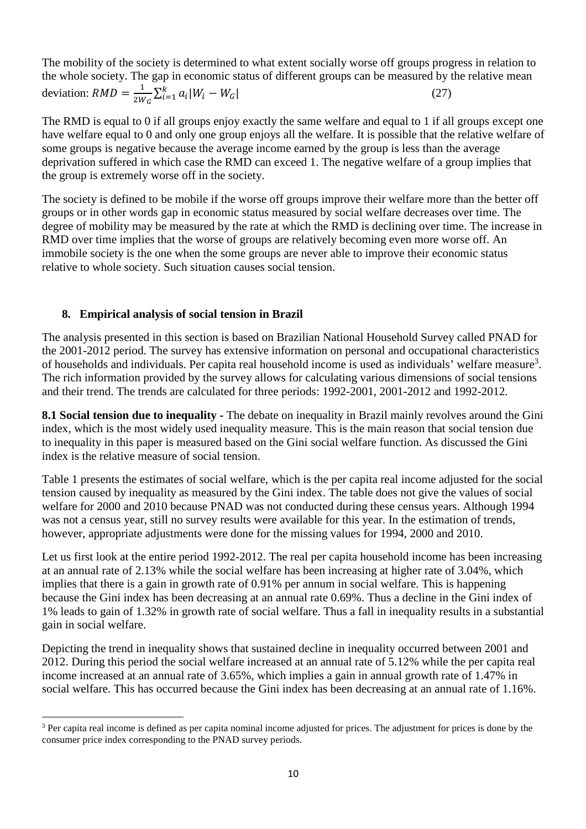The mobility of the society is determined to what extent socially worse off groups progress in relation to the whole society. The gap in economic status of different groups can be measured by the relative mean deviation:  $RMD = \frac{1}{2W_G} \sum_{i=1}^{k} a_i |W_i - W_G|$  (27)

The RMD is equal to 0 if all groups enjoy exactly the same welfare and equal to 1 if all groups except one have welfare equal to 0 and only one group enjoys all the welfare. It is possible that the relative welfare of some groups is negative because the average income earned by the group is less than the average deprivation suffered in which case the RMD can exceed 1. The negative welfare of a group implies that the group is extremely worse off in the society.

The society is defined to be mobile if the worse off groups improve their welfare more than the better off groups or in other words gap in economic status measured by social welfare decreases over time. The degree of mobility may be measured by the rate at which the RMD is declining over time. The increase in RMD over time implies that the worse of groups are relatively becoming even more worse off. An immobile society is the one when the some groups are never able to improve their economic status relative to whole society. Such situation causes social tension.

### **8. Empirical analysis of social tension in Brazil**

l

The analysis presented in this section is based on Brazilian National Household Survey called PNAD for the 2001-2012 period. The survey has extensive information on personal and occupational characteristics of households and individuals. Per capita real household income is used as individuals' welfare measure<sup>3</sup>. The rich information provided by the survey allows for calculating various dimensions of social tensions and their trend. The trends are calculated for three periods: 1992-2001, 2001-2012 and 1992-2012.

**8.1 Social tension due to inequality -** The debate on inequality in Brazil mainly revolves around the Gini index, which is the most widely used inequality measure. This is the main reason that social tension due to inequality in this paper is measured based on the Gini social welfare function. As discussed the Gini index is the relative measure of social tension.

Table 1 presents the estimates of social welfare, which is the per capita real income adjusted for the social tension caused by inequality as measured by the Gini index. The table does not give the values of social welfare for 2000 and 2010 because PNAD was not conducted during these census years. Although 1994 was not a census year, still no survey results were available for this year. In the estimation of trends, however, appropriate adjustments were done for the missing values for 1994, 2000 and 2010.

Let us first look at the entire period 1992-2012. The real per capita household income has been increasing at an annual rate of 2.13% while the social welfare has been increasing at higher rate of 3.04%, which implies that there is a gain in growth rate of 0.91% per annum in social welfare. This is happening because the Gini index has been decreasing at an annual rate 0.69%. Thus a decline in the Gini index of 1% leads to gain of 1.32% in growth rate of social welfare. Thus a fall in inequality results in a substantial gain in social welfare.

Depicting the trend in inequality shows that sustained decline in inequality occurred between 2001 and 2012. During this period the social welfare increased at an annual rate of 5.12% while the per capita real income increased at an annual rate of 3.65%, which implies a gain in annual growth rate of 1.47% in social welfare. This has occurred because the Gini index has been decreasing at an annual rate of 1.16%.

 $3$  Per capita real income is defined as per capita nominal income adjusted for prices. The adjustment for prices is done by the consumer price index corresponding to the PNAD survey periods.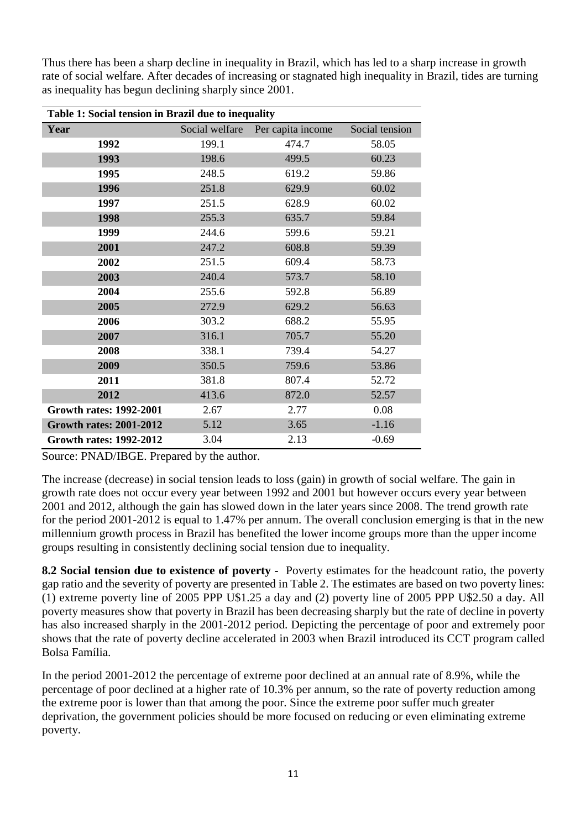Thus there has been a sharp decline in inequality in Brazil, which has led to a sharp increase in growth rate of social welfare. After decades of increasing or stagnated high inequality in Brazil, tides are turning as inequality has begun declining sharply since 2001.

| Table 1: Social tension in Brazil due to inequality |                |                   |                |  |  |
|-----------------------------------------------------|----------------|-------------------|----------------|--|--|
| Year                                                | Social welfare | Per capita income | Social tension |  |  |
| 1992                                                | 199.1          | 474.7             | 58.05          |  |  |
| 1993                                                | 198.6          | 499.5             | 60.23          |  |  |
| 1995                                                | 248.5          | 619.2             | 59.86          |  |  |
| 1996                                                | 251.8          | 629.9             | 60.02          |  |  |
| 1997                                                | 251.5          | 628.9             | 60.02          |  |  |
| 1998                                                | 255.3          | 635.7             | 59.84          |  |  |
| 1999                                                | 244.6          | 599.6             | 59.21          |  |  |
| 2001                                                | 247.2          | 608.8             | 59.39          |  |  |
| 2002                                                | 251.5          | 609.4             | 58.73          |  |  |
| 2003                                                | 240.4          | 573.7             | 58.10          |  |  |
| 2004                                                | 255.6          | 592.8             | 56.89          |  |  |
| 2005                                                | 272.9          | 629.2             | 56.63          |  |  |
| 2006                                                | 303.2          | 688.2             | 55.95          |  |  |
| 2007                                                | 316.1          | 705.7             | 55.20          |  |  |
| 2008                                                | 338.1          | 739.4             | 54.27          |  |  |
| 2009                                                | 350.5          | 759.6             | 53.86          |  |  |
| 2011                                                | 381.8          | 807.4             | 52.72          |  |  |
| 2012                                                | 413.6          | 872.0             | 52.57          |  |  |
| <b>Growth rates: 1992-2001</b>                      | 2.67           | 2.77              | 0.08           |  |  |
| <b>Growth rates: 2001-2012</b>                      | 5.12           | 3.65              | $-1.16$        |  |  |
| <b>Growth rates: 1992-2012</b>                      | 3.04           | 2.13              | $-0.69$        |  |  |

Source: PNAD/IBGE. Prepared by the author.

The increase (decrease) in social tension leads to loss (gain) in growth of social welfare. The gain in growth rate does not occur every year between 1992 and 2001 but however occurs every year between 2001 and 2012, although the gain has slowed down in the later years since 2008. The trend growth rate for the period 2001-2012 is equal to 1.47% per annum. The overall conclusion emerging is that in the new millennium growth process in Brazil has benefited the lower income groups more than the upper income groups resulting in consistently declining social tension due to inequality.

**8.2 Social tension due to existence of poverty -** Poverty estimates for the headcount ratio, the poverty gap ratio and the severity of poverty are presented in Table 2. The estimates are based on two poverty lines: (1) extreme poverty line of 2005 PPP U\$1.25 a day and (2) poverty line of 2005 PPP U\$2.50 a day. All poverty measures show that poverty in Brazil has been decreasing sharply but the rate of decline in poverty has also increased sharply in the 2001-2012 period. Depicting the percentage of poor and extremely poor shows that the rate of poverty decline accelerated in 2003 when Brazil introduced its CCT program called Bolsa Família.

In the period 2001-2012 the percentage of extreme poor declined at an annual rate of 8.9%, while the percentage of poor declined at a higher rate of 10.3% per annum, so the rate of poverty reduction among the extreme poor is lower than that among the poor. Since the extreme poor suffer much greater deprivation, the government policies should be more focused on reducing or even eliminating extreme poverty.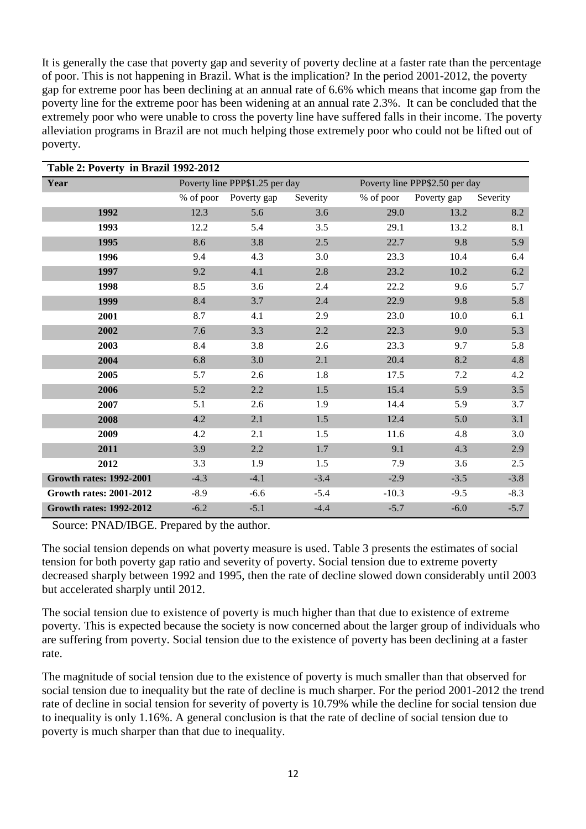It is generally the case that poverty gap and severity of poverty decline at a faster rate than the percentage of poor. This is not happening in Brazil. What is the implication? In the period 2001-2012, the poverty gap for extreme poor has been declining at an annual rate of 6.6% which means that income gap from the poverty line for the extreme poor has been widening at an annual rate 2.3%. It can be concluded that the extremely poor who were unable to cross the poverty line have suffered falls in their income. The poverty alleviation programs in Brazil are not much helping those extremely poor who could not be lifted out of poverty.

| Table 2: Poverty in Brazil 1992-2012 |                                |             |          |                                |             |          |
|--------------------------------------|--------------------------------|-------------|----------|--------------------------------|-------------|----------|
| Year                                 | Poverty line PPP\$1.25 per day |             |          | Poverty line PPP\$2.50 per day |             |          |
|                                      | % of poor                      | Poverty gap | Severity | % of poor                      | Poverty gap | Severity |
| 1992                                 | 12.3                           | 5.6         | 3.6      | 29.0                           | 13.2        | 8.2      |
| 1993                                 | 12.2                           | 5.4         | 3.5      | 29.1                           | 13.2        | 8.1      |
| 1995                                 | 8.6                            | 3.8         | 2.5      | 22.7                           | 9.8         | 5.9      |
| 1996                                 | 9.4                            | 4.3         | 3.0      | 23.3                           | 10.4        | 6.4      |
| 1997                                 | 9.2                            | 4.1         | 2.8      | 23.2                           | 10.2        | 6.2      |
| 1998                                 | 8.5                            | 3.6         | 2.4      | 22.2                           | 9.6         | 5.7      |
| 1999                                 | 8.4                            | 3.7         | 2.4      | 22.9                           | 9.8         | 5.8      |
| 2001                                 | 8.7                            | 4.1         | 2.9      | 23.0                           | 10.0        | 6.1      |
| 2002                                 | 7.6                            | 3.3         | 2.2      | 22.3                           | 9.0         | 5.3      |
| 2003                                 | 8.4                            | 3.8         | 2.6      | 23.3                           | 9.7         | 5.8      |
| 2004                                 | 6.8                            | 3.0         | 2.1      | 20.4                           | 8.2         | 4.8      |
| 2005                                 | 5.7                            | 2.6         | 1.8      | 17.5                           | 7.2         | 4.2      |
| 2006                                 | 5.2                            | 2.2         | 1.5      | 15.4                           | 5.9         | 3.5      |
| 2007                                 | 5.1                            | 2.6         | 1.9      | 14.4                           | 5.9         | 3.7      |
| 2008                                 | 4.2                            | 2.1         | 1.5      | 12.4                           | 5.0         | 3.1      |
| 2009                                 | 4.2                            | 2.1         | 1.5      | 11.6                           | 4.8         | 3.0      |
| 2011                                 | 3.9                            | 2.2         | 1.7      | 9.1                            | 4.3         | 2.9      |
| 2012                                 | 3.3                            | 1.9         | 1.5      | 7.9                            | 3.6         | 2.5      |
| <b>Growth rates: 1992-2001</b>       | $-4.3$                         | $-4.1$      | $-3.4$   | $-2.9$                         | $-3.5$      | $-3.8$   |
| <b>Growth rates: 2001-2012</b>       | $-8.9$                         | $-6.6$      | $-5.4$   | $-10.3$                        | $-9.5$      | $-8.3$   |
| <b>Growth rates: 1992-2012</b>       | $-6.2$                         | $-5.1$      | $-4.4$   | $-5.7$                         | $-6.0$      | $-5.7$   |

Source: PNAD/IBGE. Prepared by the author.

The social tension depends on what poverty measure is used. Table 3 presents the estimates of social tension for both poverty gap ratio and severity of poverty. Social tension due to extreme poverty decreased sharply between 1992 and 1995, then the rate of decline slowed down considerably until 2003 but accelerated sharply until 2012.

The social tension due to existence of poverty is much higher than that due to existence of extreme poverty. This is expected because the society is now concerned about the larger group of individuals who are suffering from poverty. Social tension due to the existence of poverty has been declining at a faster rate.

The magnitude of social tension due to the existence of poverty is much smaller than that observed for social tension due to inequality but the rate of decline is much sharper. For the period 2001-2012 the trend rate of decline in social tension for severity of poverty is 10.79% while the decline for social tension due to inequality is only 1.16%. A general conclusion is that the rate of decline of social tension due to poverty is much sharper than that due to inequality.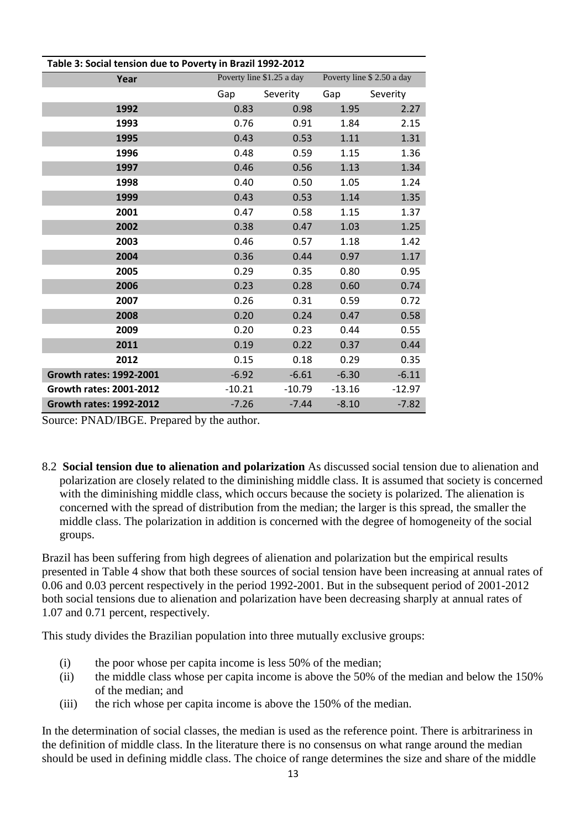| Table 3: Social tension due to Poverty in Brazil 1992-2012 |          |                           |                           |          |  |  |
|------------------------------------------------------------|----------|---------------------------|---------------------------|----------|--|--|
| Year                                                       |          | Poverty line \$1.25 a day | Poverty line \$2.50 a day |          |  |  |
|                                                            | Gap      | Severity                  | Gap                       | Severity |  |  |
| 1992                                                       | 0.83     | 0.98                      | 1.95                      | 2.27     |  |  |
| 1993                                                       | 0.76     | 0.91                      | 1.84                      | 2.15     |  |  |
| 1995                                                       | 0.43     | 0.53                      | 1.11                      | 1.31     |  |  |
| 1996                                                       | 0.48     | 0.59                      | 1.15                      | 1.36     |  |  |
| 1997                                                       | 0.46     | 0.56                      | 1.13                      | 1.34     |  |  |
| 1998                                                       | 0.40     | 0.50                      | 1.05                      | 1.24     |  |  |
| 1999                                                       | 0.43     | 0.53                      | 1.14                      | 1.35     |  |  |
| 2001                                                       | 0.47     | 0.58                      | 1.15                      | 1.37     |  |  |
| 2002                                                       | 0.38     | 0.47                      | 1.03                      | 1.25     |  |  |
| 2003                                                       | 0.46     | 0.57                      | 1.18                      | 1.42     |  |  |
| 2004                                                       | 0.36     | 0.44                      | 0.97                      | 1.17     |  |  |
| 2005                                                       | 0.29     | 0.35                      | 0.80                      | 0.95     |  |  |
| 2006                                                       | 0.23     | 0.28                      | 0.60                      | 0.74     |  |  |
| 2007                                                       | 0.26     | 0.31                      | 0.59                      | 0.72     |  |  |
| 2008                                                       | 0.20     | 0.24                      | 0.47                      | 0.58     |  |  |
| 2009                                                       | 0.20     | 0.23                      | 0.44                      | 0.55     |  |  |
| 2011                                                       | 0.19     | 0.22                      | 0.37                      | 0.44     |  |  |
| 2012                                                       | 0.15     | 0.18                      | 0.29                      | 0.35     |  |  |
| <b>Growth rates: 1992-2001</b>                             | $-6.92$  | $-6.61$                   | $-6.30$                   | $-6.11$  |  |  |
| <b>Growth rates: 2001-2012</b>                             | $-10.21$ | $-10.79$                  | $-13.16$                  | $-12.97$ |  |  |
| <b>Growth rates: 1992-2012</b>                             | $-7.26$  | $-7.44$                   | $-8.10$                   | $-7.82$  |  |  |

Source: PNAD/IBGE. Prepared by the author.

8.2 **Social tension due to alienation and polarization** As discussed social tension due to alienation and polarization are closely related to the diminishing middle class. It is assumed that society is concerned with the diminishing middle class, which occurs because the society is polarized. The alienation is concerned with the spread of distribution from the median; the larger is this spread, the smaller the middle class. The polarization in addition is concerned with the degree of homogeneity of the social groups.

Brazil has been suffering from high degrees of alienation and polarization but the empirical results presented in Table 4 show that both these sources of social tension have been increasing at annual rates of 0.06 and 0.03 percent respectively in the period 1992-2001. But in the subsequent period of 2001-2012 both social tensions due to alienation and polarization have been decreasing sharply at annual rates of 1.07 and 0.71 percent, respectively.

This study divides the Brazilian population into three mutually exclusive groups:

- (i) the poor whose per capita income is less 50% of the median;
- (ii) the middle class whose per capita income is above the 50% of the median and below the 150% of the median; and
- (iii) the rich whose per capita income is above the 150% of the median.

In the determination of social classes, the median is used as the reference point. There is arbitrariness in the definition of middle class. In the literature there is no consensus on what range around the median should be used in defining middle class. The choice of range determines the size and share of the middle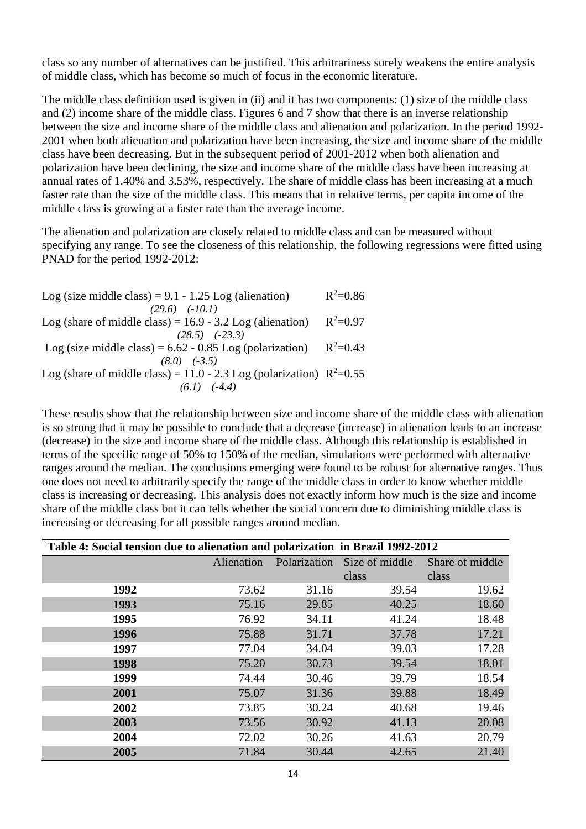class so any number of alternatives can be justified. This arbitrariness surely weakens the entire analysis of middle class, which has become so much of focus in the economic literature.

The middle class definition used is given in (ii) and it has two components: (1) size of the middle class and (2) income share of the middle class. Figures 6 and 7 show that there is an inverse relationship between the size and income share of the middle class and alienation and polarization. In the period 1992- 2001 when both alienation and polarization have been increasing, the size and income share of the middle class have been decreasing. But in the subsequent period of 2001-2012 when both alienation and polarization have been declining, the size and income share of the middle class have been increasing at annual rates of 1.40% and 3.53%, respectively. The share of middle class has been increasing at a much faster rate than the size of the middle class. This means that in relative terms, per capita income of the middle class is growing at a faster rate than the average income.

The alienation and polarization are closely related to middle class and can be measured without specifying any range. To see the closeness of this relationship, the following regressions were fitted using PNAD for the period 1992-2012:

| Log (size middle class) = $9.1 - 1.25$ Log (alienation)                 | $R^2 = 0.86$ |
|-------------------------------------------------------------------------|--------------|
| $(29.6)$ $(-10.1)$                                                      |              |
| Log (share of middle class) = $16.9 - 3.2$ Log (alienation)             | $R^2 = 0.97$ |
| $(28.5)$ $(-23.3)$                                                      |              |
| Log (size middle class) = $6.62 - 0.85$ Log (polarization)              | $R^2=0.43$   |
| $(8.0)$ $(-3.5)$                                                        |              |
| Log (share of middle class) = 11.0 - 2.3 Log (polarization) $R^2$ =0.55 |              |
| $(6.1)$ $(-4.4)$                                                        |              |

These results show that the relationship between size and income share of the middle class with alienation is so strong that it may be possible to conclude that a decrease (increase) in alienation leads to an increase (decrease) in the size and income share of the middle class. Although this relationship is established in terms of the specific range of 50% to 150% of the median, simulations were performed with alternative ranges around the median. The conclusions emerging were found to be robust for alternative ranges. Thus one does not need to arbitrarily specify the range of the middle class in order to know whether middle class is increasing or decreasing. This analysis does not exactly inform how much is the size and income share of the middle class but it can tells whether the social concern due to diminishing middle class is increasing or decreasing for all possible ranges around median.

| Table 4: Social tension due to alienation and polarization in Brazil 1992-2012 |            |              |                |                 |  |
|--------------------------------------------------------------------------------|------------|--------------|----------------|-----------------|--|
|                                                                                | Alienation | Polarization | Size of middle | Share of middle |  |
|                                                                                |            |              | class          | class           |  |
| 1992                                                                           | 73.62      | 31.16        | 39.54          | 19.62           |  |
| 1993                                                                           | 75.16      | 29.85        | 40.25          | 18.60           |  |
| 1995                                                                           | 76.92      | 34.11        | 41.24          | 18.48           |  |
| 1996                                                                           | 75.88      | 31.71        | 37.78          | 17.21           |  |
| 1997                                                                           | 77.04      | 34.04        | 39.03          | 17.28           |  |
| 1998                                                                           | 75.20      | 30.73        | 39.54          | 18.01           |  |
| 1999                                                                           | 74.44      | 30.46        | 39.79          | 18.54           |  |
| 2001                                                                           | 75.07      | 31.36        | 39.88          | 18.49           |  |
| 2002                                                                           | 73.85      | 30.24        | 40.68          | 19.46           |  |
| 2003                                                                           | 73.56      | 30.92        | 41.13          | 20.08           |  |
| 2004                                                                           | 72.02      | 30.26        | 41.63          | 20.79           |  |
| 2005                                                                           | 71.84      | 30.44        | 42.65          | 21.40           |  |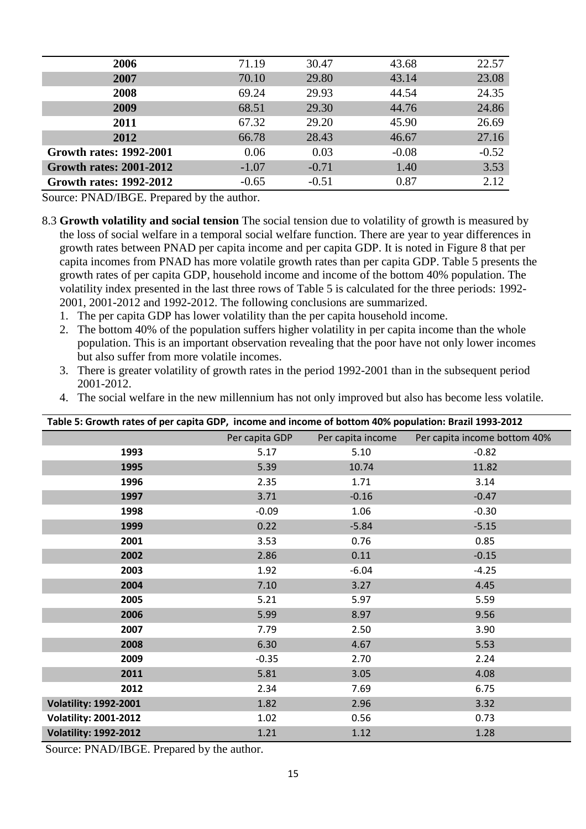| 2006                           | 71.19   | 30.47   | 43.68   | 22.57   |
|--------------------------------|---------|---------|---------|---------|
| 2007                           | 70.10   | 29.80   | 43.14   | 23.08   |
| 2008                           | 69.24   | 29.93   | 44.54   | 24.35   |
| 2009                           | 68.51   | 29.30   | 44.76   | 24.86   |
| 2011                           | 67.32   | 29.20   | 45.90   | 26.69   |
| 2012                           | 66.78   | 28.43   | 46.67   | 27.16   |
| <b>Growth rates: 1992-2001</b> | 0.06    | 0.03    | $-0.08$ | $-0.52$ |
| <b>Growth rates: 2001-2012</b> | $-1.07$ | $-0.71$ | 1.40    | 3.53    |
| <b>Growth rates: 1992-2012</b> | $-0.65$ | $-0.51$ | 0.87    | 2.12    |

Source: PNAD/IBGE. Prepared by the author.

8.3 **Growth volatility and social tension** The social tension due to volatility of growth is measured by the loss of social welfare in a temporal social welfare function. There are year to year differences in growth rates between PNAD per capita income and per capita GDP. It is noted in Figure 8 that per capita incomes from PNAD has more volatile growth rates than per capita GDP. Table 5 presents the growth rates of per capita GDP, household income and income of the bottom 40% population. The volatility index presented in the last three rows of Table 5 is calculated for the three periods: 1992- 2001, 2001-2012 and 1992-2012. The following conclusions are summarized.

- 1. The per capita GDP has lower volatility than the per capita household income.
- 2. The bottom 40% of the population suffers higher volatility in per capita income than the whole population. This is an important observation revealing that the poor have not only lower incomes but also suffer from more volatile incomes.
- 3. There is greater volatility of growth rates in the period 1992-2001 than in the subsequent period 2001-2012.
- 4. The social welfare in the new millennium has not only improved but also has become less volatile.

|                              | Table 5: Growth rates of per capita GDP, income and income of bottom 40% population: Brazil 1993-2012 |                   |                              |  |  |
|------------------------------|-------------------------------------------------------------------------------------------------------|-------------------|------------------------------|--|--|
|                              | Per capita GDP                                                                                        | Per capita income | Per capita income bottom 40% |  |  |
| 1993                         | 5.17                                                                                                  | 5.10              | $-0.82$                      |  |  |
| 1995                         | 5.39                                                                                                  | 10.74             | 11.82                        |  |  |
| 1996                         | 2.35                                                                                                  | 1.71              | 3.14                         |  |  |
| 1997                         | 3.71                                                                                                  | $-0.16$           | $-0.47$                      |  |  |
| 1998                         | $-0.09$                                                                                               | 1.06              | $-0.30$                      |  |  |
| 1999                         | 0.22                                                                                                  | $-5.84$           | $-5.15$                      |  |  |
| 2001                         | 3.53                                                                                                  | 0.76              | 0.85                         |  |  |
| 2002                         | 2.86                                                                                                  | 0.11              | $-0.15$                      |  |  |
| 2003                         | 1.92                                                                                                  | $-6.04$           | $-4.25$                      |  |  |
| 2004                         | 7.10                                                                                                  | 3.27              | 4.45                         |  |  |
| 2005                         | 5.21                                                                                                  | 5.97              | 5.59                         |  |  |
| 2006                         | 5.99                                                                                                  | 8.97              | 9.56                         |  |  |
| 2007                         | 7.79                                                                                                  | 2.50              | 3.90                         |  |  |
| 2008                         | 6.30                                                                                                  | 4.67              | 5.53                         |  |  |
| 2009                         | $-0.35$                                                                                               | 2.70              | 2.24                         |  |  |
| 2011                         | 5.81                                                                                                  | 3.05              | 4.08                         |  |  |
| 2012                         | 2.34                                                                                                  | 7.69              | 6.75                         |  |  |
| <b>Volatility: 1992-2001</b> | 1.82                                                                                                  | 2.96              | 3.32                         |  |  |
| <b>Volatility: 2001-2012</b> | 1.02                                                                                                  | 0.56              | 0.73                         |  |  |
| <b>Volatility: 1992-2012</b> | 1.21                                                                                                  | 1.12              | 1.28                         |  |  |

Source: PNAD/IBGE. Prepared by the author.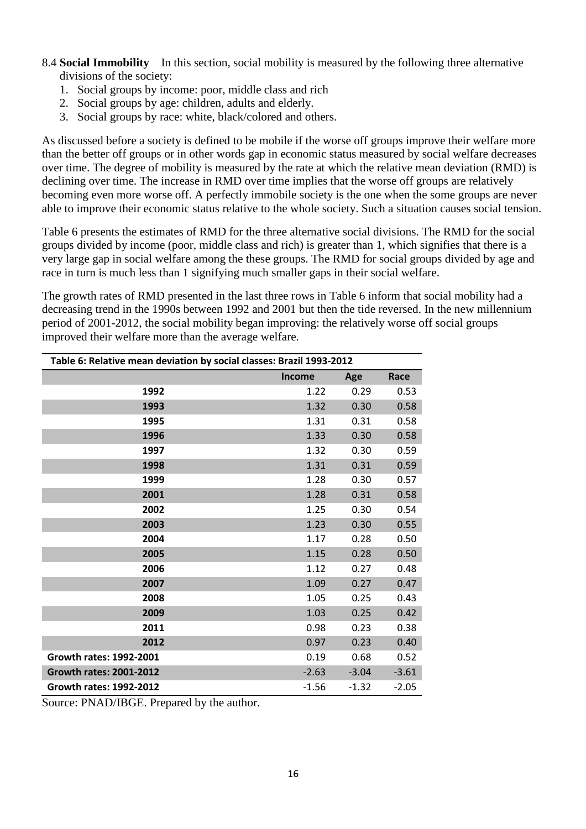- 8.4 **Social Immobility** In this section, social mobility is measured by the following three alternative divisions of the society:
	- 1. Social groups by income: poor, middle class and rich
	- 2. Social groups by age: children, adults and elderly.
	- 3. Social groups by race: white, black/colored and others.

As discussed before a society is defined to be mobile if the worse off groups improve their welfare more than the better off groups or in other words gap in economic status measured by social welfare decreases over time. The degree of mobility is measured by the rate at which the relative mean deviation (RMD) is declining over time. The increase in RMD over time implies that the worse off groups are relatively becoming even more worse off. A perfectly immobile society is the one when the some groups are never able to improve their economic status relative to the whole society. Such a situation causes social tension.

Table 6 presents the estimates of RMD for the three alternative social divisions. The RMD for the social groups divided by income (poor, middle class and rich) is greater than 1, which signifies that there is a very large gap in social welfare among the these groups. The RMD for social groups divided by age and race in turn is much less than 1 signifying much smaller gaps in their social welfare.

The growth rates of RMD presented in the last three rows in Table 6 inform that social mobility had a decreasing trend in the 1990s between 1992 and 2001 but then the tide reversed. In the new millennium period of 2001-2012, the social mobility began improving: the relatively worse off social groups improved their welfare more than the average welfare.

| Table 6: Relative mean deviation by social classes: Brazil 1993-2012 |               |         |         |  |  |
|----------------------------------------------------------------------|---------------|---------|---------|--|--|
|                                                                      | <b>Income</b> | Age     | Race    |  |  |
| 1992                                                                 | 1.22          | 0.29    | 0.53    |  |  |
| 1993                                                                 | 1.32          | 0.30    | 0.58    |  |  |
| 1995                                                                 | 1.31          | 0.31    | 0.58    |  |  |
| 1996                                                                 | 1.33          | 0.30    | 0.58    |  |  |
| 1997                                                                 | 1.32          | 0.30    | 0.59    |  |  |
| 1998                                                                 | 1.31          | 0.31    | 0.59    |  |  |
| 1999                                                                 | 1.28          | 0.30    | 0.57    |  |  |
| 2001                                                                 | 1.28          | 0.31    | 0.58    |  |  |
| 2002                                                                 | 1.25          | 0.30    | 0.54    |  |  |
| 2003                                                                 | 1.23          | 0.30    | 0.55    |  |  |
| 2004                                                                 | 1.17          | 0.28    | 0.50    |  |  |
| 2005                                                                 | 1.15          | 0.28    | 0.50    |  |  |
| 2006                                                                 | 1.12          | 0.27    | 0.48    |  |  |
| 2007                                                                 | 1.09          | 0.27    | 0.47    |  |  |
| 2008                                                                 | 1.05          | 0.25    | 0.43    |  |  |
| 2009                                                                 | 1.03          | 0.25    | 0.42    |  |  |
| 2011                                                                 | 0.98          | 0.23    | 0.38    |  |  |
| 2012                                                                 | 0.97          | 0.23    | 0.40    |  |  |
| Growth rates: 1992-2001                                              | 0.19          | 0.68    | 0.52    |  |  |
| <b>Growth rates: 2001-2012</b>                                       | $-2.63$       | $-3.04$ | $-3.61$ |  |  |
| <b>Growth rates: 1992-2012</b>                                       | $-1.56$       | $-1.32$ | $-2.05$ |  |  |

Source: PNAD/IBGE. Prepared by the author.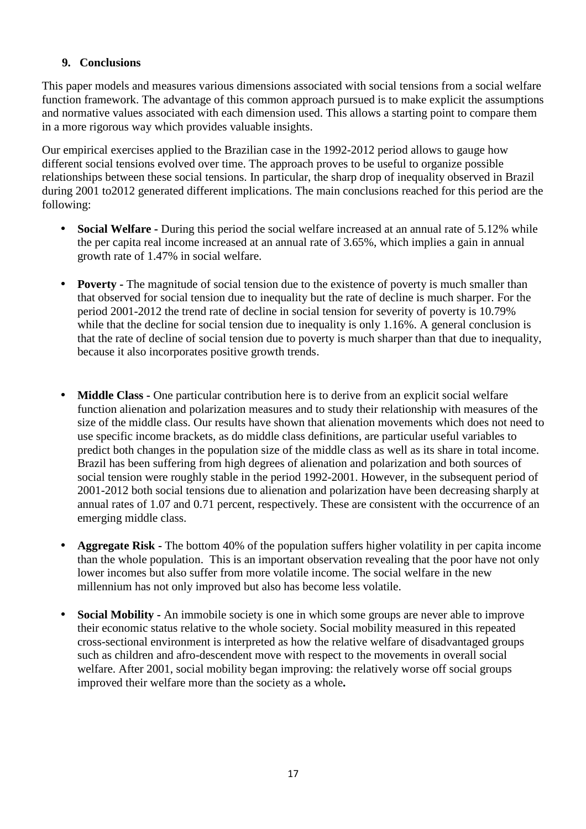### **9. Conclusions**

This paper models and measures various dimensions associated with social tensions from a social welfare function framework. The advantage of this common approach pursued is to make explicit the assumptions and normative values associated with each dimension used. This allows a starting point to compare them in a more rigorous way which provides valuable insights.

Our empirical exercises applied to the Brazilian case in the 1992-2012 period allows to gauge how different social tensions evolved over time. The approach proves to be useful to organize possible relationships between these social tensions. In particular, the sharp drop of inequality observed in Brazil during 2001 to2012 generated different implications. The main conclusions reached for this period are the following:

- **Social Welfare -** During this period the social welfare increased at an annual rate of 5.12% while the per capita real income increased at an annual rate of 3.65%, which implies a gain in annual growth rate of 1.47% in social welfare.
- **Poverty** The magnitude of social tension due to the existence of poverty is much smaller than that observed for social tension due to inequality but the rate of decline is much sharper. For the period 2001-2012 the trend rate of decline in social tension for severity of poverty is 10.79% while that the decline for social tension due to inequality is only 1.16%. A general conclusion is that the rate of decline of social tension due to poverty is much sharper than that due to inequality, because it also incorporates positive growth trends.
- **Middle Class** One particular contribution here is to derive from an explicit social welfare function alienation and polarization measures and to study their relationship with measures of the size of the middle class. Our results have shown that alienation movements which does not need to use specific income brackets, as do middle class definitions, are particular useful variables to predict both changes in the population size of the middle class as well as its share in total income. Brazil has been suffering from high degrees of alienation and polarization and both sources of social tension were roughly stable in the period 1992-2001. However, in the subsequent period of 2001-2012 both social tensions due to alienation and polarization have been decreasing sharply at annual rates of 1.07 and 0.71 percent, respectively. These are consistent with the occurrence of an emerging middle class.
- **Aggregate Risk** The bottom 40% of the population suffers higher volatility in per capita income than the whole population. This is an important observation revealing that the poor have not only lower incomes but also suffer from more volatile income. The social welfare in the new millennium has not only improved but also has become less volatile.
- **Social Mobility** An immobile society is one in which some groups are never able to improve their economic status relative to the whole society. Social mobility measured in this repeated cross-sectional environment is interpreted as how the relative welfare of disadvantaged groups such as children and afro-descendent move with respect to the movements in overall social welfare. After 2001, social mobility began improving: the relatively worse off social groups improved their welfare more than the society as a whole**.**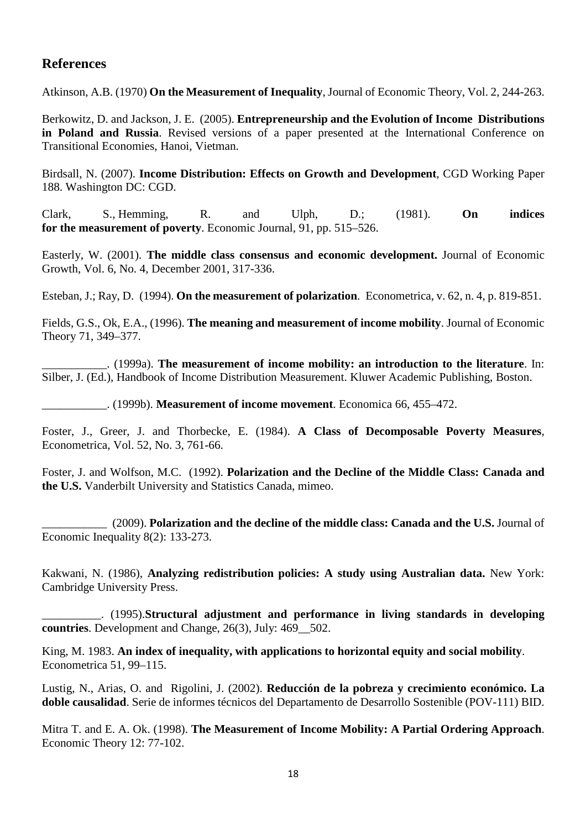# **References**

Atkinson, A.B. (1970) **On the Measurement of Inequality**, Journal of Economic Theory, Vol. 2, 244-263.

Berkowitz, D. and Jackson, J. E. (2005). **Entrepreneurship and the Evolution of Income Distributions in Poland and Russia**. Revised versions of a paper presented at the International Conference on Transitional Economies, Hanoi, Vietman.

Birdsall, N. (2007). **Income Distribution: Effects on Growth and Development**, CGD Working Paper 188. Washington DC: CGD.

Clark, S., Hemming, R. and Ulph, D.; (1981). **On indices for the measurement of poverty**. Economic Journal, 91, pp. 515–526.

Easterly, W. (2001). **The middle class consensus and economic development.** Journal of Economic Growth, Vol. 6, No. 4, December 2001, 317-336.

Esteban, J.; Ray, D. (1994). **On the measurement of polarization**. Econometrica, v. 62, n. 4, p. 819-851.

Fields, G.S., Ok, E.A., (1996). **The meaning and measurement of income mobility**. Journal of Economic Theory 71, 349–377.

\_\_\_\_\_\_\_\_\_\_\_. (1999a). **The measurement of income mobility: an introduction to the literature**. In: Silber, J. (Ed.), Handbook of Income Distribution Measurement. Kluwer Academic Publishing, Boston.

\_\_\_\_\_\_\_\_\_\_\_. (1999b). **Measurement of income movement**. Economica 66, 455–472.

Foster, J., Greer, J. and Thorbecke, E. (1984). **A Class of Decomposable Poverty Measures**, Econometrica, Vol. 52, No. 3, 761-66.

Foster, J. and Wolfson, M.C. (1992). **Polarization and the Decline of the Middle Class: Canada and the U.S.** Vanderbilt University and Statistics Canada, mimeo.

\_\_\_\_\_\_\_\_\_\_\_ (2009). **Polarization and the decline of the middle class: Canada and the U.S.** Journal of Economic Inequality 8(2): 133-273.

Kakwani, N. (1986), **Analyzing redistribution policies: A study using Australian data.** New York: Cambridge University Press.

\_\_\_\_\_\_\_\_\_\_. (1995).**Structural adjustment and performance in living standards in developing countries**. Development and Change, 26(3), July: 469\_\_502.

King, M. 1983. **An index of inequality, with applications to horizontal equity and social mobility**. Econometrica 51, 99–115.

Lustig, N., Arias, O. and Rigolini, J. (2002). **Reducción de la pobreza y crecimiento económico. La doble causalidad**. Serie de informes técnicos del Departamento de Desarrollo Sostenible (POV-111) BID.

Mitra T. and E. A. Ok. (1998). **The Measurement of Income Mobility: A Partial Ordering Approach**. Economic Theory 12: 77-102.